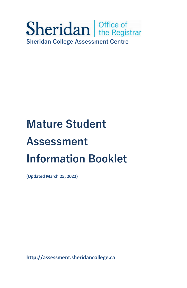

# **Mature Student Assessment Information Booklet**

**(Updated March 25, 2022)** 

**[http://assessment.sheridancollege.ca](http://assessment.sheridancollege.ca/)**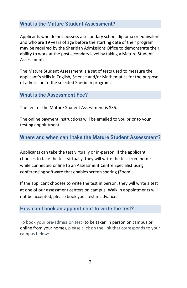## **What is the Mature Student Assessment?**

Applicants who do not possess a secondary school diploma or equivalent and who are 19 years of age before the starting date of their program may be required by the Sheridan Admissions Office to demonstrate their ability to work at the postsecondary level by taking a Mature Student Assessment.

The Mature Student Assessment is a set of tests used to measure the applicant's skills in English, Science and/or Mathematics for the purpose of admission to the selected Sheridan program.

## **What is the Assessment Fee?**

The fee for the Mature Student Assessment is \$35.

The online payment instructions will be emailed to you prior to your testing appointment.

## **Where and when can I take the Mature Student Assessment?**

Applicants can take the test virtually or in-person. If the applicant chooses to take the test virtually, they will write the test from home while connected online to an Assessment Centre Specialist using conferencing software that enables screen sharing (Zoom).

If the applicant chooses to write the test in person, they will write a test at one of our assessment centers on campus. Walk in appointments will not be accepted, please book your test in advance.

#### **How can I book an appointment to write the test?**

To book your pre-admission test (to be taken in person on campus or online from your home), please click on the link that corresponds to your campus below: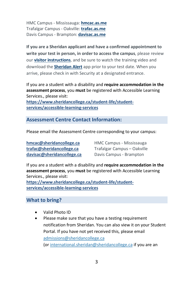HMC Campus - Mississauga: **[hmcac.as.me](http://www.hmcac.as.me/)** Trafalgar Campus - Oakville: **[trafac.as.me](http://www.trafac.as.me/)** Davis Campus - Brampton: **[davisac.as.me](http://www.davisac.as.me/)**

**If you are a Sheridan applicant and have a confirmed appointment to write your test in person, in order to access the campus**, please review our **visitor [instructions](https://www.sheridancollege.ca/-/media/project/sheridan/shared/files/admissions/assessment-centre/visitor-instructions.pdf)**, and be sure to watch the training video and download the **[Sheridan](https://apparmor.apparmor.com/clients/sheridancollege.ca/) Alert** app prior to your test date. When you arrive, please check in with Security at a designated entrance.

If you are a student with a disability and **require accommodation in the assessment process**, you **must** be registered with Accessible Learning Services., please visit:

**[https://www.sheridancollege.ca/student-life/student](https://www.sheridancollege.ca/student-life/student-services/accessible-learning-services)[services/accessible-learning-services](https://www.sheridancollege.ca/student-life/student-services/accessible-learning-services)**

**Assessment Centre Contact Information:**

Please email the Assessment Centre corresponding to your campus:

**[hmcac@sheridancollege.ca](mailto:hmcac@sheridancollege.ca?subject=Assessment)** HMC Campus - Mississauga **[trafac@sheridancollege.ca](mailto:trafac@sheridancollege.ca?subject=Assessment)** Trafalgar Campus – Oakville **[davisac@sheridancollege.ca](mailto:davisac@sheridancollege.ca)** Davis Campus - Brampton

If you are a student with a disability and **require accommodation in the assessment process**, you **must** be registered with Accessible Learning Services., please visit:

**[https://www.sheridancollege.ca/student-life/student](https://www.sheridancollege.ca/student-life/student-services/accessible-learning-services)[services/accessible-learning-services](https://www.sheridancollege.ca/student-life/student-services/accessible-learning-services)**

## **What to bring?**

- Valid Photo ID
- Please make sure that you have a testing requirement notification from Sheridan. You can also view it on your Student Portal. If you have not yet received this, please email [admissions@sheridancollege.ca](mailto:admissions@sheridancollege.ca)  (or [international.sheridan@sheridancollege.ca](mailto:international.sheridan@sheridancollege.ca) if you are an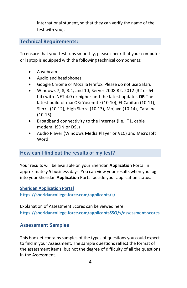international student, so that they can verify the name of the test with you).

## **Technical Requirements:**

To ensure that your test runs smoothly, please check that your computer or laptop is equipped with the following technical components:

- A webcam
- Audio and headphones
- Google Chrome or Mozzila Firefox. Please do not use Safari.
- Windows 7, 8, 8.1, and 10; Server 2008 R2, 2012 (32 or 64 bit) with .NET 4.0 or higher and the latest updates **OR** The latest build of macOS: Yosemite (10.10), El Capitan (10.11), Sierra (10.12), High Sierra (10.13), Mojave (10.14), Catalina (10.15)
- Broadband connectivity to the Internet (i.e., T1, cable modem, ISDN or DSL)
- Audio Player (Windows Media Player or VLC) and Microsoft Word

# **How can I find out the results of my test?**

Your results will be available on your Sheridan **Application** Portal in approximately 5 business days. You can view your results when you log into your Sheridan **Application** Portal beside your application status.

## **Sheridan [Application](https://sheridancollege.force.com/applicantsSSO/s/) Portal**

**<https://sheridancollege.force.com/applicants/s/>**

Explanation of Assessment Scores can be viewed here: **<https://sheridancollege.force.com/applicantsSSO/s/assessment-scores>**

## **Assessment Samples**

This booklet contains samples of the types of questions you could expect to find in your Assessment. The sample questions reflect the format of the assessment items, but not the degree of difficulty of all the questions in the Assessment.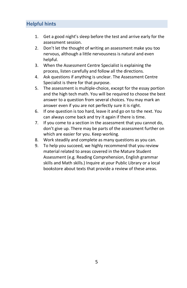# **Helpful hints**

- 1. Get a good night's sleep before the test and arrive early for the assessment session.
- 2. Don't let the thought of writing an assessment make you too nervous, although a little nervousness is natural and even helpful.
- 3. When the Assessment Centre Specialist is explaining the process, listen carefully and follow all the directions.
- 4. Ask questions if anything is unclear. The Assessment Centre Specialist is there for that purpose.
- 5. The assessment is multiple-choice, except for the essay portion and the high tech math. You will be required to choose the best answer to a question from several choices. You may mark an answer even if you are not perfectly sure it is right.
- 6. If one question is too hard, leave it and go on to the next. You can always come back and try it again if there is time.
- 7. If you come to a section in the assessment that you cannot do, don't give up. There may be parts of the assessment further on which are easier for you. Keep working.
- 8. Work steadily and complete as many questions as you can.
- 9. To help you succeed, we highly recommend that you review material related to areas covered in the Mature Student Assessment (e.g. Reading Comprehension, English grammar skills and Math skills.) Inquire at your Public Library or a local bookstore about texts that provide a review of these areas.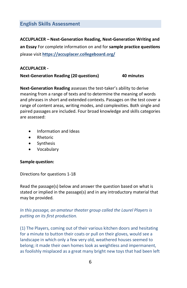## **English Skills Assessment**

**ACCUPLACER – Next-Generation Reading, Next-Generation Writing and an Essay** For complete information on and for **sample practice questions** please visit **<https://accuplacer.collegeboard.org/>**

#### **ACCUPLACER -**

#### **Next-Generation Reading (20 questions) 40 minutes**

**Next-Generation Reading** assesses the test-taker's ability to derive meaning from a range of texts and to determine the meaning of words and phrases in short and extended contexts. Passages on the test cover a range of content areas, writing modes, and complexities. Both single and paired passages are included. Four broad knowledge and skills categories are assessed:

- Information and Ideas
- Rhetoric
- Synthesis
- Vocabulary

#### **Sample question:**

Directions for questions 1-18

Read the passage(s) below and answer the question based on what is stated or implied in the passage(s) and in any introductory material that may be provided.

### *In this passage, an amateur theater group called the Laurel Players is putting on its first production.*

(1) The Players, coming out of their various kitchen doors and hesitating for a minute to button their coats or pull on their gloves, would see a landscape in which only a few very old, weathered houses seemed to belong; it made their own homes look as weightless and impermanent, as foolishly misplaced as a great many bright new toys that had been left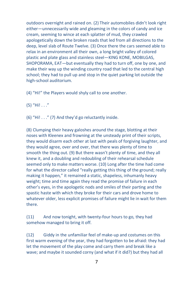outdoors overnight and rained on. (2) Their automobiles didn't look right either—unnecessarily wide and gleaming in the colors of candy and ice cream, seeming to wince at each splatter of mud, they crawled apologetically down the broken roads that led from all directions to the deep, level slab of Route Twelve. (3) Once there the cars seemed able to relax in an environment all their own, a long bright valley of colored plastic and plate glass and stainless steel—KING KONE, MOBILGAS, SHOPORAMA, EAT—but eventually they had to turn off, one by one, and make their way up the winding country road that led to the central high school; they had to pull up and stop in the quiet parking lot outside the high-school auditorium.

(4) "Hi!" the Players would shyly call to one another.

(5) "Hi! . . ."

(6) "Hi! . . ." (7) And they'd go reluctantly inside.

(8) Clumping their heavy galoshes around the stage, blotting at their noses with Kleenex and frowning at the unsteady print of their scripts, they would disarm each other at last with peals of forgiving laughter, and they would agree, over and over, that there was plenty of time to smooth the thing out. (9) But there wasn't plenty of time, and they all knew it, and a doubling and redoubling of their rehearsal schedule seemed only to make matters worse. (10) Long after the time had come for what the director called "really getting this thing of the ground; really making it happen," it remained a static, shapeless, inhumanly heavy weight; time and time again they read the promise of failure in each other's eyes, in the apologetic nods and smiles of their parting and the spastic haste with which they broke for their cars and drove home to whatever older, less explicit promises of failure might lie in wait for them there.

(11) And now tonight, with twenty-four hours to go, they had somehow managed to bring it off.

(12) Giddy in the unfamiliar feel of make-up and costumes on this first warm evening of the year, they had forgotten to be afraid: they had let the movement of the play come and carry them and break like a wave; and maybe it sounded corny (and what if it did?) but they had all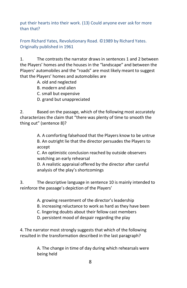put their hearts into their work. (13) Could anyone ever ask for more than that?

From Richard Yates, Revolutionary Road. ©1989 by Richard Yates. Originally published in 1961

1. The contrasts the narrator draws in sentences 1 and 2 between the Players' homes and the houses in the "landscape" and between the Players' automobiles and the "roads" are most likely meant to suggest that the Players' homes and automobiles are

- A. old and neglected
- B. modern and alien
- C. small but expensive
- D. grand but unappreciated

2. Based on the passage, which of the following most accurately characterizes the claim that "there was plenty of time to smooth the thing out" (sentence 8)?

> A. A comforting falsehood that the Players know to be untrue B. An outright lie that the director persuades the Players to accept

C. An optimistic conclusion reached by outside observers watching an early rehearsal

D. A realistic appraisal offered by the director after careful analysis of the play's shortcomings

3. The descriptive language in sentence 10 is mainly intended to reinforce the passage's depiction of the Players'

A. growing resentment of the director's leadership

- B. increasing reluctance to work as hard as they have been
- C. lingering doubts about their fellow cast members
- D. persistent mood of despair regarding the play

4. The narrator most strongly suggests that which of the following resulted in the transformation described in the last paragraph?

> A. The change in time of day during which rehearsals were being held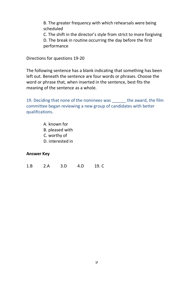B. The greater frequency with which rehearsals were being scheduled

C. The shift in the director's style from strict to more forgiving D. The break in routine occurring the day before the first performance

Directions for questions 19-20

The following sentence has a blank indicating that something has been left out. Beneath the sentence are four words or phrases. Choose the word or phrase that, when inserted in the sentence, best fits the meaning of the sentence as a whole.

19. Deciding that none of the nominees was the award, the film committee began reviewing a new group of candidates with better qualifications.

> A. known for B. pleased with C. worthy of D. interested in

#### **Answer Key**

1.B 2.A 3.D 4.D 19. C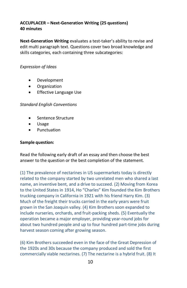## **ACCUPLACER – Next-Generation Writing (25 questions) 40 minutes**

**Next-Generation Writing** evaluates a test-taker's ability to revise and edit multi paragraph text. Questions cover two broad knowledge and skills categories, each containing three subcategories:

#### *Expression of Ideas*

- Development
- Organization
- Effective Language Use

#### *Standard English Conventions*

- Sentence Structure
- Usage
- Punctuation

#### **Sample question:**

Read the following early draft of an essay and then choose the best answer to the question or the best completion of the statement.

(1) The prevalence of nectarines in US supermarkets today is directly related to the company started by two unrelated men who shared a last name, an inventive bent, and a drive to succeed. (2) Moving from Korea to the United States in 1914, Ho "Charles" Kim founded the Kim Brothers trucking company in California in 1921 with his friend Harry Kim. (3) Much of the freight their trucks carried in the early years were fruit grown in the San Joaquin valley. (4) Kim Brothers soon expanded to include nurseries, orchards, and fruit-packing sheds. (5) Eventually the operation became a major employer, providing year-round jobs for about two hundred people and up to four hundred part-time jobs during harvest season coming after growing season.

(6) Kim Brothers succeeded even in the face of the Great Depression of the 1920s and 30s because the company produced and sold the first commercially viable nectarines. (7) The nectarine is a hybrid fruit. (8) It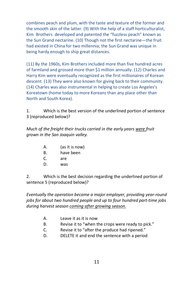combines peach and plum, with the taste and texture of the former and the smooth skin of the latter. (9) With the help of a staff horticulturalist, Kim Brothers developed and patented the "fuzzless peach" known as the Sun Grand nectarine. (10) Though not the first nectarine—the fruit had existed in China for two millennia; the Sun Grand was unique in being hardy enough to ship great distances.

(11) By the 1960s, Kim Brothers included more than five hundred acres of farmland and grossed more than \$1 million annually. (12) Charles and Harry Kim were eventually recognized as the first millionaires of Korean descent. (13) They were also known for giving back to their community. (14) Charles was also instrumental in helping to create Los Angeles's Koreatown (home today to more Koreans than any place other than North and South Korea).

1. Which is the best version of the underlined portion of sentence 3 (reproduced below)?

*Much of the freight their trucks carried in the early years were fruit grown in the San Joaquin valley.*

- A. (as it is now)
- B. have been
- C. are
- D. was

2. Which is the best decision regarding the underlined portion of sentence 5 (reproduced below)?

*Eventually the operation became a major employer, providing year-round jobs for about two hundred people and up to four hundred part-time jobs during harvest season coming after growing season.*

- A. Leave it as it is now
- B. Revise it to "when the crops were ready to pick."
- C. Revise it to "after the produce had ripened."
- D. DELETE it and end the sentence with a period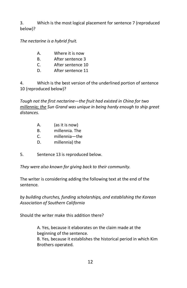3. Which is the most logical placement for sentence 7 (reproduced below)?

*The nectarine is a hybrid fruit.*

- A. Where it is now
- B. After sentence 3
- C. After sentence 10
- D. After sentence 11

4. Which is the best version of the underlined portion of sentence 10 (reproduced below)?

*Tough not the first nectarine—the fruit had existed in China for two millennia; the Sun Grand was unique in being hardy enough to ship great distances.*

- A. (as it is now)
- B. millennia. The
- C. millennia—the
- D. millennia) the
- 5. Sentence 13 is reproduced below.

*They were also known for giving back to their community.*

The writer is considering adding the following text at the end of the sentence.

*by building churches, funding scholarships, and establishing the Korean Association of Southern California* 

Should the writer make this addition there?

A. Yes, because it elaborates on the claim made at the beginning of the sentence. B. Yes, because it establishes the historical period in which Kim Brothers operated.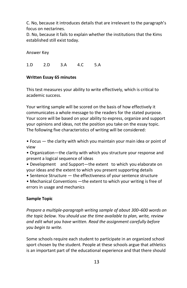C. No, because it introduces details that are irrelevant to the paragraph's focus on nectarines.

D. No, because it fails to explain whether the institutions that the Kims established still exist today.

Answer Key

1.D 2.D 3.A 4.C 5.A

#### **Written Essay 65 minutes**

This test measures your ability to write effectively, which is critical to academic success.

Your writing sample will be scored on the basis of how effectively it communicates a whole message to the readers for the stated purpose. Your score will be based on your ability to express, organize and support your opinions and ideas, not the position you take on the essay topic. The following five characteristics of writing will be considered:

• Focus — the clarity with which you maintain your main idea or point of view

• Organization—the clarity with which you structure your response and present a logical sequence of ideas

• Development and Support—the extent to which you elaborate on your ideas and the extent to which you present supporting details

• Sentence Structure — the effectiveness of your sentence structure

• Mechanical Conventions —the extent to which your writing is free of errors in usage and mechanics

#### **Sample Topic**

*Prepare a multiple-paragraph writing sample of about 300–600 words on the topic below. You should use the time available to plan, write, review and edit what you have written. Read the assignment carefully before you begin to write.* 

Some schools require each student to participate in an organized school sport chosen by the student. People at these schools argue that athletics is an important part of the educational experience and that there should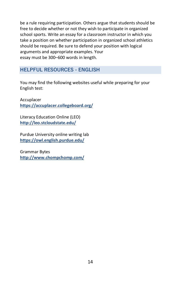be a rule requiring participation. Others argue that students should be free to decide whether or not they wish to participate in organized school sports. Write an essay for a classroom instructor in which you take a position on whether participation in organized school athletics should be required. Be sure to defend your position with logical arguments and appropriate examples. Your essay must be 300–600 words in length.

## **HELPFUL RESOURCES - ENGLISH**

You may find the following websites useful while preparing for your English test:

Accuplacer **<https://accuplacer.collegeboard.org/>**

Literacy Education Online (LEO) **<http://leo.stcloudstate.edu/>**

Purdue University online writing lab **<https://owl.english.purdue.edu/>**

Grammar Bytes **<http://www.chompchomp.com/>**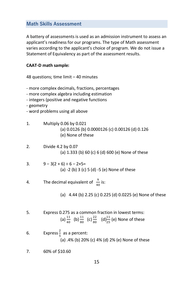## **Math Skills Assessment**

A battery of assessments is used as an admission instrument to assess an applicant's readiness for our programs. The type of Math assessment varies according to the applicant's choice of program. We do not issue a Statement of Equivalency as part of the assessment results.

#### **CAAT-D math sample:**

48 questions; time limit – 40 minutes

- more complex decimals, fractions, percentages
- more complex algebra including estimation
- integers (positive and negative functions
- geometry
- word problems using all above
- 1. Multiply 0.06 by 0.021 (a) 0.0126 (b) 0.0000126 (c) 0.00126 (d) 0.126 (e) None of these
- 2. Divide 4.2 by 0.07 (a) 1.333 (b) 60 (c) 6 (d) 600 (e) None of these
- 3.  $9 3(2 + 6) \div 6 2 \times 5 =$ (a) -2 (b) 3 (c) 5 (d) -5 (e) None of these
- 4. The decimal equivalent of  $\frac{9}{40}$  is:

(a) 4.44 (b) 2.25 (c) 0.225 (d) 0.0225 (e) None of these

- 5. Express 0.275 as a common fraction in lowest terms: (a)  $\frac{11}{40}$  (b)  $\frac{11}{80}$  (c)  $\frac{22}{80}$  (d) $\frac{11}{25}$  (e) None of these
- 6. Express  $\frac{2}{5}$  as a percent: 5 (a) .4% (b) 20% (c) 4% (d) 2% (e) None of these
- 7. 60% of \$10.60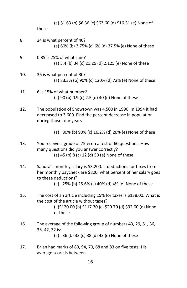## (a) \$1.63 (b) \$6.36 (c) \$63.60 (d) \$16.31 (e) None of

these

- 8. 24 is what percent of 40? (a) 60% (b) 3.75% (c) 6% (d) 37.5% (e) None of these
- 9. 0.85 is 25% of what sum? (a) 3.4 (b) 34 (c) 21.25 (d) 2.125 (e) None of these
- 10. 36 is what percent of 30? (a) 83.3% (b) 90% (c) 120% (d) 72% (e) None of these
- 11. 6 is 15% of what number? (a) 90 (b) 0.9 (c) 2.5 (d) 40 (e) None of these
- 12. The population of Snowtown was 4,500 in 1990. In 1994 it had decreased to 3,600. Find the percent decrease in population during those four years.
	- (a) 80% (b) 90% (c) 16.2% (d) 20% (e) None of these
- 13. You receive a grade of 75 % on a test of 60 questions. How many questions did you answer correctly? (a) 45 (b) 8 (c) 12 (d) 50 (e) None of these
- 14. Sandra's monthly salary is \$3,200. If deductions for taxes from her monthly paycheck are \$800, what percent of her salary goes to these deductions?

(a) 25% (b) 25.6% (c) 40% (d) 4% (e) None of these

- 15. The cost of an article including 15% for taxes is \$138.00. What is the cost of the article without taxes? (a)\$120.00 (b) \$117.30 (c) \$20.70 (d) \$92.00 (e) None of these
- 16. The average of the following group of numbers 43, 29, 51, 36, 33, 42, 32 is:

(a) 36 (b) 33 (c) 38 (d) 43 (e) None of these

17. Brian had marks of 80, 94, 70, 68 and 83 on five tests. His average score is between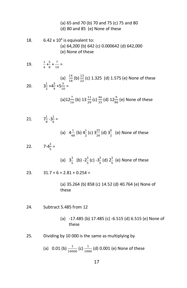(a) 65 and 70 (b) 70 and 75 (c) 75 and 80

(d) 80 and 85 (e) None of these

18. 
$$
6.42 \times 10^4
$$
 is equivalent to:  
(a) 64,200 (b) 642 (c) 0.000642 (d) 642,000  
(e) None of these

19.  $\frac{1}{4} + \frac{5}{8} + \frac{7}{10} =$ 8

(a)  $\frac{14}{18}$  (b)  $\frac{13}{22}$  (c) 1.325 (d) 1.575 (e) None of these 20.  $3^{\frac{1}{2}} + 4^{\frac{3}{4}} + 5^{\frac{3}{10}} =$ 

(a) 
$$
12\frac{7}{16}
$$
 (b)  $13\frac{11}{20}$  (c)  $\frac{46}{33}$  (d)  $12\frac{9}{80}$  (e) None of these

21. 
$$
7\frac{1}{8} \cdot 3\frac{1}{6} =
$$

(a) 
$$
4\frac{1}{48}
$$
 (b)  $4\frac{1}{2}$  (c)  $3\frac{23}{24}$  (d)  $3\frac{0}{2}$  (e) None of these

22. 
$$
7-4\frac{2}{5}
$$
 =

(a)  $3\frac{3}{5}$  $rac{3}{5}$  (b)  $-2\frac{3}{5}$  (c)  $-3\frac{3}{5}$  (d)  $2\frac{3}{5}$  $\frac{5}{5}$  (e) None of these

$$
23. \qquad 31.7 + 6 + 2.81 + 0.254 =
$$

(a) 35.264 (b) 858 (c) 14.52 (d) 40.764 (e) None of these

24. Subtract 5.485 from 12

(a) -17.485 (b) 17.485 (c) -6.515 (d) 6.515 (e) None of these

#### 25. Dividing by 10 000 is the same as multiplying by

(a) 0.01 (b) 
$$
\frac{1}{10000}
$$
 (c)  $\frac{1}{1000}$  (d) 0.001 (e) None of these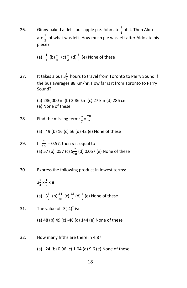26. Ginny baked a delicious apple pie. John ate  $\frac{1}{4}$  of it. Then Aldo ate $\frac{1}{2}$  of what was left. How much pie was left after Aldo ate his piece?

(a) 
$$
\frac{1}{4}
$$
 (b)  $\frac{1}{8}$  (c)  $\frac{1}{2}$  (d)  $\frac{3}{8}$  (e) None of these

27. It takes a bus  $3\frac{1}{4}$  $\frac{1}{4}$  hours to travel from Toronto to Parry Sound if the bus averages 88 Km/hr. How far is it from Toronto to Parry Sound?

> (a) 286,000 m (b) 2.86 km (c) 27 km (d) 286 cm (e) None of these

28. Find the missing term: 
$$
\frac{4}{7} = \frac{28}{?}
$$

(a) 49 (b) 16 (c) 56 (d) 42 (e) None of these

- 29. If  $\frac{a}{10}$  = 0.57, then *a* is equal to (a) 57 (b) .057 (c)  $5\frac{7}{10}$  (d) 0.057 (e) None of these
- 30. Express the following product in lowest terms:

$$
3\frac{1}{4} \times \frac{1}{7} \times 8
$$
  
(a)  $3\frac{3}{7}$  (b)  $\frac{24}{28}$  (c)  $\frac{13}{7}$  (d)  $\frac{6}{7}$  (e) None of these

31. The value of  $-3(-4)^2$  is:

(a) 48 (b) 49 (c) -48 (d) 144 (e) None of these

- 32. How many fifths are there in 4.8?
	- (a) 24 (b) 0.96 (c) 1.04 (d) 9.6 (e) None of these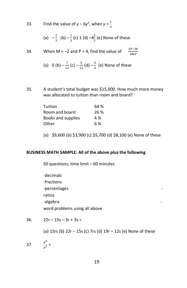33. Find the value of *y* − 6*y*<sup>2</sup>, when *y* =  $\frac{1}{3}$ 

(a) 
$$
-\frac{2}{3}
$$
 (b)  $-\frac{1}{3}$  (c) 1 (d)  $-4\frac{2}{3}$  (e) None of these

34. When M = -2 and P = 4, find the value of  $\frac{3P-M}{3MP}$ 

(a) 0 (b) 
$$
-\frac{7}{12}
$$
 (c)  $-\frac{5}{12}$  (d)  $-\frac{3}{4}$  (e) None of these

35. A student's total budget was \$15,000. How much more money was allocated to tuition than room and board?

| Tuition            | 64 % |
|--------------------|------|
| Room and board     | 26 % |
| Books and supplies | 4 %  |
| Other              | 6 %  |

(a) \$9,600 (b) \$3,900 (c) \$5,700 (d) \$8,100 (e) None of these

#### **BUSINESS MATH SAMPLE: All of the above plus the following**

50 questions; time limit – 60 minutes

-decimals -fractions -percentages ratios -algebra word problems using all above

36.  $22r - 15s - 3r + 3s =$ 

(a) 15rs (b) 22r – 15s (c) 7rs (d) 19r – 12s (e) None of these

37.  $\frac{a^6}{a^2} =$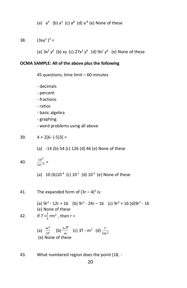(a) 
$$
a^4
$$
 (b)  $a^3$  (c)  $a^8$  (d)  $a^{-8}$  (e) None of these

38.  $(3xy^2)^3 =$ 

(a) 3x3 *y*<sup>6</sup> (b) xy (c) 27x3 *y*6 (d) 9x2 *y*6 (e) None of these

#### **OCMA SAMPLE: All of the above plus the following**

45 questions; time limit – 60 minutes

- decimals
- percent
- fractions
- ratios
- basic algebra
- graphing
- word problems using all above

$$
39. \qquad 4 + 2[6-(-5)3] =
$$

(a) -14 (b)-54 (c) 126 (d) 46 (e) None of these

40.  $\frac{10^3}{10^{-2}}$  =

(a)  $10 (b) 10^{-4}$  (c)  $10^{-1}$  (d)  $10^{-5}$  (e) None of these

41. The expanded form of 
$$
(3r - 4)^2
$$
 is:

(a) 
$$
9r^2 - 12r + 16
$$
 (b)  $9r^2 - 24r - 16$  (c)  $9r^2 + 16$  (d)  $9r^2 - 16$   
(e) None of these  
42. If  $T = \frac{1}{3}r m^2$ , then  $r =$ 

(a)  $\frac{m^2}{3T}$  (b)  $\frac{3\sqrt{T}}{m}$  (c) 3T - m<sup>2</sup> (d)  $\frac{T}{3m^2}$ (e) None of these

43. What numbered region does the point (18, -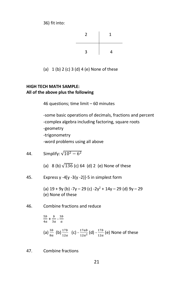36) fit into:

$$
\begin{array}{c|c}\n2 & 1 \\
\hline\n3 & 4\n\end{array}
$$

(a)  $1$  (b)  $2$  (c)  $3$  (d)  $4$  (e) None of these

## **HIGH TECH MATH SAMPLE: All of the above plus the following**

46 questions; time limit – 60 minutes

-some basic operations of decimals, fractions and percent -complex algebra including factoring, square roots -geometry -trigonometry

-word problems using all above

44. Simplify: 
$$
\sqrt{10^2 - 6^2}
$$

(a) 8 (b)  $\sqrt{136}$  (c) 64 (d) 2 (e) None of these

45. Express  $y -4[y -3(y -2)]$ -5 in simplest form

(a)  $19 + 9y$  (b)  $-7y - 29$  (c)  $-2y^2 + 14y - 29$  (d)  $9y - 29$ (e) None of these

46. Combine fractions and reduce

$$
\frac{5b}{4a} + \frac{b}{3a} - \frac{3b}{a}
$$
\n(a)  $\frac{3b}{8a}$  (b)  $\frac{17b}{12a}$  (c)  $-\frac{17ab}{12a^2}$  (d)  $-\frac{17b}{12a}$  (e) None of these

47. Combine fractions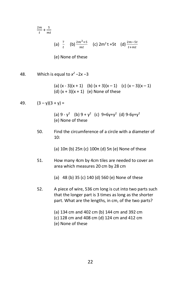$$
\frac{2m}{t} + \frac{5}{mt}
$$

(a) 
$$
\frac{7}{t}
$$
 (b)  $\frac{2m^2+5}{mt}$  (c)  $2m^2t+5t$  (d)  $\frac{2m-5t}{t+mt}$ 

(e) None of these

48. Which is equal to 
$$
x^2 - 2x - 3
$$

(a)  $(x - 3)(x + 1)$  (b)  $(x + 3)(x - 1)$  (c)  $(x - 3)(x - 1)$ (d)  $(x + 3)(x + 1)$  (e) None of these

# 49.  $(3 - y)(3 + y) =$

(a) 
$$
9 - y^2
$$
 (b)  $9 + y^2$  (c)  $9 + 6y + y^2$  (d)  $9 - 6y + y^2$   
(e) None of these

50. Find the circumference of a circle with a diameter of 10:

(a) 10π (b) 25π (c) 100π (d) 5π (e) None of these

- 51. How many 4cm by 4cm tiles are needed to cover an area which measures 20 cm by 28 cm
	- (a) 48 (b) 35 (c) 140 (d) 560 (e) None of these
- 52. A piece of wire, 536 cm long is cut into two parts such that the longer part is 3 times as long as the shorter part. What are the lengths, in cm, of the two parts?
	- (a) 134 cm and 402 cm (b) 144 cm and 392 cm
	- (c) 128 cm and 408 cm (d) 124 cm and 412 cm
	- (e) None of these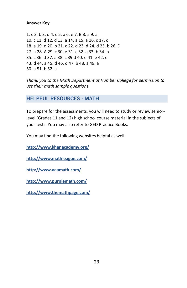#### **Answer Key**

1. c 2. b 3. d 4. c 5. a 6. e 7. B 8. a 9. a 10. c 11. d 12. d 13. a 14. a 15. a 16. c 17. c 18. a 19. d 20. b 21. c 22. d 23. d 24. d 25. b 26. D 27. a 28. A 29. c 30. e 31. c 32. a 33. b 34. b 35. c 36. d 37. a 38. c 39.d 40. e 41. e 42. e 43. d 44. a 45. d 46. d 47. b 48. a 49. a 50. a 51. b 52. a

*Thank you to the Math Department at Humber College for permission to use their math sample questions.*

**HELPFUL RESOURCES - MATH**

To prepare for the assessments, you will need to study or review seniorlevel (Grades 11 and 12) high school course material in the subjects of your tests. You may also refer to GED Practice Books.

You may find the following websites helpful as well:

**<http://www.khanacademy.org/>**

**<http://www.mathleague.com/>**

**<http://www.aaamath.com/>**

**<http://www.purplemath.com/>**

**<http://www.themathpage.com/>**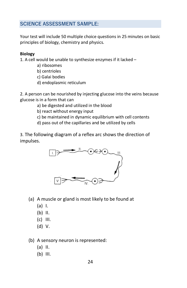# **SCIENCE ASSESSMENT SAMPLE:**

Your test will include 50 multiple choice questions in 25 minutes on basic principles of biology, chemistry and physics.

## **Biology**

1. A cell would be unable to synthesize enzymes if it lacked –

- a) ribosomes
- b) centrioles
- c) Galai bodies
- d) endoplasmic reticulum

2. A person can be nourished by injecting glucose into the veins because glucose is in a form that can

- a) be digested and utilized in the blood
- b) react without energy input
- c) be maintained in dynamic equilibrium with cell contents
- d) pass out of the capillaries and be utilized by cells

3. The following diagram of a reflex arc shows the direction of impulses.



- (a) A muscle or gland is most likely to be found at
	- (a) I.
	- (b) II.
	- (c) III.
	- (d) V.
- (b) A sensory neuron is represented:
	- (a) II.
	- (b) III.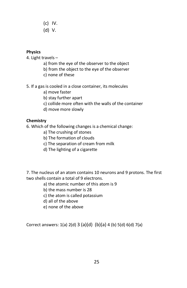- (c) IV.
- (d) V.

## **Physics**

4. Light travels –

- a) from the eye of the observer to the object
- b) from the object to the eye of the observer
- c) none of these
- 5. If a gas is cooled in a close container, its molecules
	- a) move faster
	- b) stay further apart
	- c) collide more often with the walls of the container
	- d) move more slowly

## **Chemistry**

6. Which of the following changes is a chemical change:

- a) The crushing of stones
- b) The formation of clouds
- c) The separation of cream from milk
- d) The lighting of a cigarette

7. The nucleus of an atom contains 10 neurons and 9 protons. The first two shells contain a total of 9 electrons.

- a) the atomic number of this atom is 9
- b) the mass number is 28
- c) the atom is called potassium
- d) all of the above
- e) none of the above

Correct answers:  $1(a)$   $2(d)$   $3$   $(a)(d)$   $(b)(a)$   $4$   $(b)$   $5(d)$   $6(d)$   $7(a)$